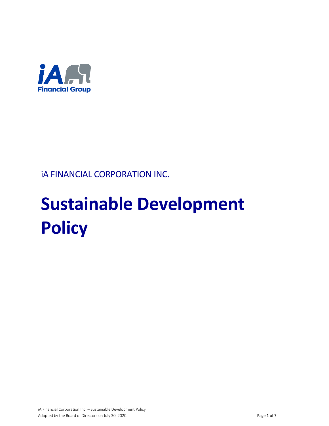

# iA FINANCIAL CORPORATION INC.

# **Sustainable Development Policy**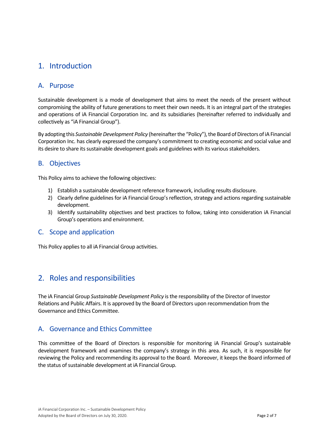# 1. Introduction

#### A. Purpose

Sustainable development is a mode of development that aims to meet the needs of the present without compromising the ability of future generations to meet their own needs. It is an integral part of the strategies and operations of iA Financial Corporation Inc. and its subsidiaries (hereinafter referred to individually and collectively as "iA Financial Group").

By adopting this *Sustainable Development Policy* (hereinafter the "Policy"), the Board of Directors of iA Financial Corporation Inc. has clearly expressed the company's commitment to creating economic and social value and its desire to share its sustainable development goals and guidelines with its various stakeholders.

#### B. Objectives

This Policy aims to achieve the following objectives:

- 1) Establish a sustainable development reference framework, including results disclosure.
- 2) Clearly define guidelines for iA Financial Group's reflection, strategy and actions regarding sustainable development.
- 3) Identify sustainability objectives and best practices to follow, taking into consideration iA Financial Group's operations and environment.

#### C. Scope and application

This Policy applies to all iA Financial Group activities.

# 2. Roles and responsibilities

The iA Financial Group *Sustainable Development Policy* is the responsibility of the Director of Investor Relations and Public Affairs. It is approved by the Board of Directors upon recommendation from the Governance and Ethics Committee.

#### A. Governance and Ethics Committee

This committee of the Board of Directors is responsible for monitoring iA Financial Group's sustainable development framework and examines the company's strategy in this area. As such, it is responsible for reviewing the Policy and recommending its approval to the Board. Moreover, it keeps the Board informed of the status of sustainable development at iA Financial Group.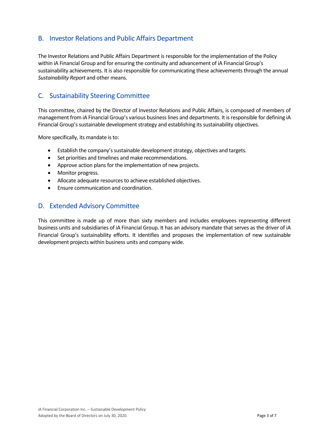#### B. Investor Relations and Public Affairs Department

The Investor Relations and Public Affairs Department is responsible for the implementation of the Policy within iA Financial Group and for ensuring the continuity and advancement of iA Financial Group's sustainability achievements. It is also responsible for communicating these achievements through the annual *Sustainability Report* and other means.

#### C. Sustainability Steering Committee

This committee, chaired by the Director of Investor Relations and Public Affairs, is composed of members of management from iA Financial Group's various business lines and departments. It is responsible for defining iA Financial Group's sustainable development strategy and establishing its sustainability objectives.

More specifically, its mandate is to:

- Establish the company's sustainable development strategy, objectives and targets.
- Set priorities and timelines and make recommendations.
- Approve action plans for the implementation of new projects.
- Monitor progress.
- Allocate adequate resources to achieve established objectives.
- Ensure communication and coordination.

#### D. Extended Advisory Committee

This committee is made up of more than sixty members and includes employees representing different business units and subsidiaries of iA Financial Group. It has an advisory mandate that serves as the driver of iA Financial Group's sustainability efforts. It identifies and proposes the implementation of new sustainable development projects within business units and company wide.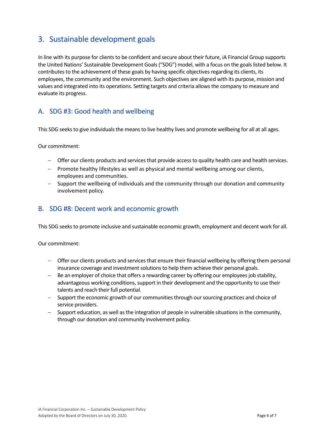# 3. Sustainable development goals

In line with its purpose for clients to be confident and secure about their future, iA Financial Group supports the United Nations' Sustainable Development Goals ("SDG") model, with a focus on the goals listed below. It contributes to the achievement of these goals by having specific objectives regarding its clients, its employees, the community and the environment. Such objectives are aligned with its purpose, mission and values and integrated into its operations. Setting targets and criteria allows the company to measure and evaluate its progress.

# A. SDG #3: Good health and wellbeing

This SDG seeks to give individuals the means to live healthy lives and promote wellbeing for all at all ages.

Our commitment:

- − Offer our clients products and services that provide access to quality health care and health services.
- − Promote healthy lifestyles as well as physical and mental wellbeing among our clients, employees and communities.
- − Support the wellbeing of individuals and the community through our donation and community involvement policy.

#### B. SDG #8: Decent work and economic growth

This SDG seeks to promote inclusive and sustainable economic growth, employment and decent work for all.

Our commitment:

- − Offer our clients products and services that ensure their financial wellbeing by offering them personal insurance coverage and investment solutions to help them achieve their personal goals.
- − Be an employer of choice that offers a rewarding career by offering our employees job stability, advantageous working conditions, support in their development and the opportunity to use their talents and reach their full potential.
- − Support the economic growth of our communities through our sourcing practices and choice of service providers.
- Support education, as well as the integration of people in vulnerable situations in the community, through our donation and community involvement policy.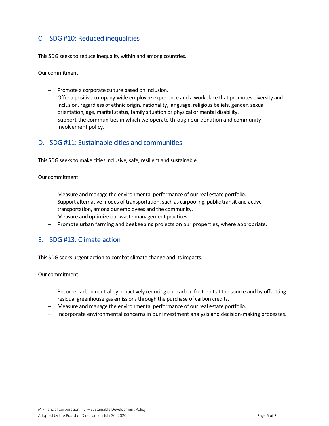# C. SDG #10: Reduced inequalities

This SDG seeks to reduce inequality within and among countries.

Our commitment:

- − Promote a corporate culture based on inclusion.
- − Offer a positive company-wide employee experience and a workplace that promotes diversity and inclusion, regardless of ethnic origin, nationality, language, religious beliefs, gender, sexual orientation, age, marital status, family situation or physical or mental disability.
- − Support the communities in which we operate through our donation and community involvement policy.

#### D. SDG #11: Sustainable cities and communities

This SDG seeks to make cities inclusive, safe, resilient and sustainable.

Our commitment:

- − Measure and manage the environmental performance of our real estate portfolio.
- − Support alternative modes of transportation, such as carpooling, public transit and active transportation, among our employees and the community.
- − Measure and optimize our waste management practices.
- − Promote urban farming and beekeeping projects on our properties, where appropriate.

#### E. SDG #13: Climate action

This SDG seeks urgent action to combat climate change and its impacts.

Our commitment:

- − Become carbon neutral by proactively reducing our carbon footprint at the source and by offsetting residual greenhouse gas emissions through the purchase of carbon credits.
- − Measure and manage the environmental performance of our real estate portfolio.
- − Incorporate environmental concerns in our investment analysis and decision-making processes.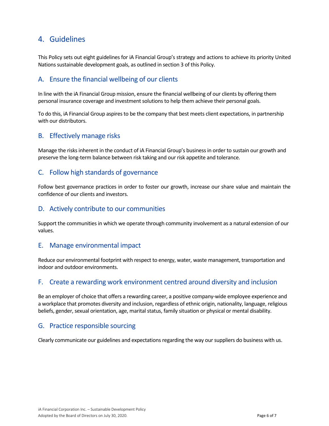# 4. Guidelines

This Policy sets out eight guidelines for iA Financial Group's strategy and actions to achieve its priority United Nations sustainable development goals, as outlined in section 3 of this Policy.

#### A. Ensure the financial wellbeing of our clients

In line with the iA Financial Group mission, ensure the financial wellbeing of our clients by offering them personal insurance coverage and investment solutions to help them achieve their personal goals.

To do this, iA Financial Group aspires to be the company that best meets client expectations, in partnership with our distributors.

#### B. Effectively manage risks

Manage the risks inherent in the conduct of iA Financial Group's business in order to sustain our growth and preserve the long-term balance between risk taking and our risk appetite and tolerance.

#### C. Follow high standards of governance

Follow best governance practices in order to foster our growth, increase our share value and maintain the confidence of our clients and investors.

#### D. Actively contribute to our communities

Support the communities in which we operate through community involvement as a natural extension of our values.

#### E. Manage environmental impact

Reduce our environmental footprint with respect to energy, water, waste management, transportation and indoor and outdoor environments.

#### F. Create a rewarding work environment centred around diversity and inclusion

Be an employer of choice that offers a rewarding career, a positive company-wide employee experience and a workplace that promotes diversity and inclusion, regardless of ethnic origin, nationality, language, religious beliefs, gender, sexual orientation, age, marital status, family situation or physical or mental disability.

#### G. Practice responsible sourcing

Clearly communicate our guidelines and expectations regarding the way our suppliers do business with us.